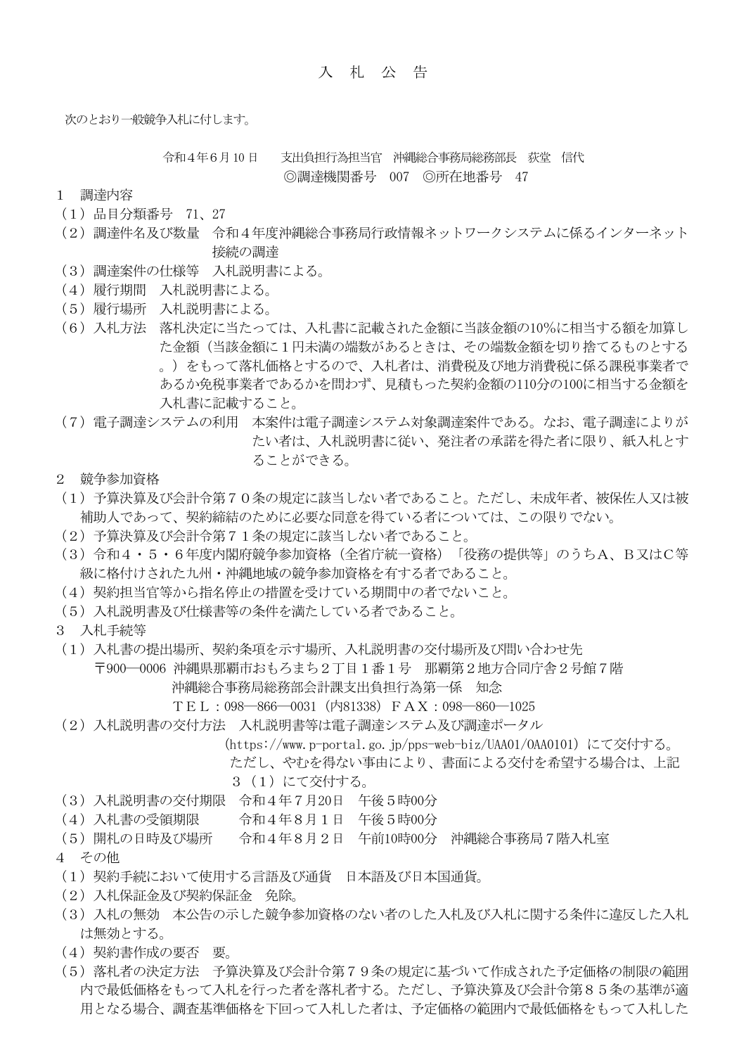次のとおり一般競争入札に付します。

令和4年6月10 日 支出負担行為担当官 沖縄総合事務局総務部長 荻堂 信代 ◎調達機関番号 007 ◎所在地番号 47

- 1 調達内容
- (1)品目分類番号 71、27
- (2)調達件名及び数量 令和4年度沖縄総合事務局行政情報ネットワークシステムに係るインターネット 接続の調達
- (3)調達案件の仕様等 入札説明書による。
- (4)履行期間 入札説明書による。
- (5)履行場所 入札説明書による。
- (6)入札方法 落札決定に当たっては、入札書に記載された金額に当該金額の10%に相当する額を加算し た金額(当該金額に1円未満の端数があるときは、その端数金額を切り捨てるものとする 。)をもって落札価格とするので、入札者は、消費税及び地方消費税に係る課税事業者で あるか免税事業者であるかを問わず、見積もった契約金額の110分の100に相当する金額を 入札書に記載すること。
- (7)電子調達システムの利用 本案件は電子調達システム対象調達案件である。なお、電子調達によりが たい者は、入札説明書に従い、発注者の承諾を得た者に限り、紙入札とす ることができる。
- 2 競争参加資格
- (1)予算決算及び会計令第70条の規定に該当しない者であること。ただし、未成年者、被保佐人又は被 補助人であって、契約締結のために必要な同意を得ている者については、この限りでない。
- (2)予算決算及び会計令第71条の規定に該当しない者であること。
- (3)令和4・5・6年度内閣府競争参加資格(全省庁統一資格)「役務の提供等」のうちA、B又はC等 級に格付けされた九州・沖縄地域の競争参加資格を有する者であること。
- (4)契約担当官等から指名停止の措置を受けている期間中の者でないこと。
- (5)入札説明書及び仕様書等の条件を満たしている者であること。
- 3 入札手続等
- (1)入札書の提出場所、契約条項を示す場所、入札説明書の交付場所及び問い合わせ先 〒900―0006 沖縄県那覇市おもろまち2丁目1番1号 那覇第2地方合同庁舎2号館7階 沖縄総合事務局総務部会計課支出負担行為第一係 知念
	- TEL:098―866―0031(内81338)FAX:098―860―1025
- (2)入札説明書の交付方法 入札説明書等は電子調達システム及び調達ポータル
	- (https://www.p-portal.go.jp/pps-web-biz/UAA01/OAA0101)にて交付する。
	- ただし、やむを得ない事由により、書面による交付を希望する場合は、上記
	- 3 (1) にて交付する。
- (3)入札説明書の交付期限 令和4年7月20日 午後5時00分
- (4)入札書の受領期限 令和4年8月1日 午後5時00分
- (5)開札の日時及び場所 令和4年8月2日 午前10時00分 沖縄総合事務局7階入札室
- 4 その他
- (1)契約手続において使用する言語及び通貨 日本語及び日本国通貨。
- (2)入札保証金及び契約保証金 免除。
- (3)入札の無効 本公告の示した競争参加資格のない者のした入札及び入札に関する条件に違反した入札 は無効とする。
- (4)契約書作成の要否 要。
- (5)落札者の決定方法 予算決算及び会計令第79条の規定に基づいて作成された予定価格の制限の範囲 内で最低価格をもって入札を行った者を落札者する。ただし、予算決算及び会計令第85条の基準が適 用となる場合、調査基準価格を下回って入札した者は、予定価格の範囲内で最低価格をもって入札した